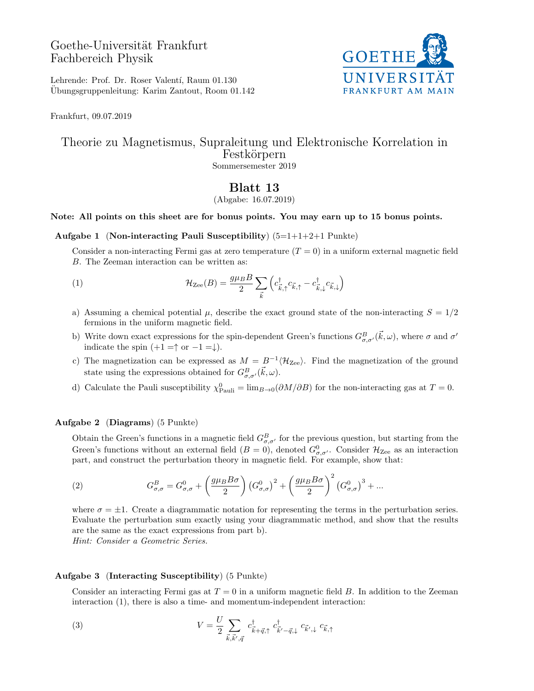# Goethe-Universität Frankfurt Fachbereich Physik



Lehrende: Prof. Dr. Roser Valentí, Raum 01.130 Ubungsgruppenleitung: Karim Zantout, Room 01.142 ¨

Frankfurt, 09.07.2019

## Theorie zu Magnetismus, Supraleitung und Elektronische Korrelation in Festkörpern Sommersemester 2019

# Blatt 13

(Abgabe: 16.07.2019)

## Note: All points on this sheet are for bonus points. You may earn up to 15 bonus points.

#### Aufgabe 1 (Non-interacting Pauli Susceptibility)  $(5=1+1+2+1)$  Punkte)

Consider a non-interacting Fermi gas at zero temperature  $(T = 0)$  in a uniform external magnetic field B. The Zeeman interaction can be written as:

(1) 
$$
\mathcal{H}_{\mathrm{Zee}}(B) = \frac{g\mu_B B}{2} \sum_{\vec{k}} \left( c_{\vec{k},\uparrow}^{\dagger} c_{\vec{k},\uparrow} - c_{\vec{k},\downarrow}^{\dagger} c_{\vec{k},\downarrow} \right)
$$

- a) Assuming a chemical potential  $\mu$ , describe the exact ground state of the non-interacting  $S = 1/2$ fermions in the uniform magnetic field.
- b) Write down exact expressions for the spin-dependent Green's functions  $G_{\sigma,\sigma'}^B(\vec{k},\omega)$ , where  $\sigma$  and  $\sigma'$ indicate the spin  $(+1 = \uparrow \text{or } -1 = \downarrow).$
- c) The magnetization can be expressed as  $M = B^{-1} \langle \mathcal{H}_{\rm Zee} \rangle$ . Find the magnetization of the ground state using the expressions obtained for  $G_{\sigma,\sigma'}^B(\vec{k},\omega)$ .
- d) Calculate the Pauli susceptibility  $\chi_{\text{Pauli}}^0 = \lim_{B\to 0} (\partial M/\partial B)$  for the non-interacting gas at  $T = 0$ .

#### Aufgabe 2 (Diagrams) (5 Punkte)

Obtain the Green's functions in a magnetic field  $G_{\sigma,\sigma'}^B$  for the previous question, but starting from the Green's functions without an external field  $(B = 0)$ , denoted  $G^0_{\sigma,\sigma'}$ . Consider  $\mathcal{H}_{\text{Zee}}$  as an interaction part, and construct the perturbation theory in magnetic field. For example, show that:

(2) 
$$
G_{\sigma,\sigma}^{B} = G_{\sigma,\sigma}^{0} + \left(\frac{g\mu_{B}B\sigma}{2}\right) \left(G_{\sigma,\sigma}^{0}\right)^{2} + \left(\frac{g\mu_{B}B\sigma}{2}\right)^{2} \left(G_{\sigma,\sigma}^{0}\right)^{3} + \dots
$$

where  $\sigma = \pm 1$ . Create a diagrammatic notation for representing the terms in the perturbation series. Evaluate the perturbation sum exactly using your diagrammatic method, and show that the results are the same as the exact expressions from part b). Hint: Consider a Geometric Series.

### Aufgabe 3 (Interacting Susceptibility) (5 Punkte)

Consider an interacting Fermi gas at  $T = 0$  in a uniform magnetic field B. In addition to the Zeeman interaction (1), there is also a time- and momentum-independent interaction:

(3) 
$$
V = \frac{U}{2} \sum_{\vec{k}, \vec{k}', \vec{q}} c^{\dagger}_{\vec{k} + \vec{q}, \uparrow} c^{\dagger}_{\vec{k}' - \vec{q}, \downarrow} c_{\vec{k}', \downarrow} c_{\vec{k}, \uparrow}
$$